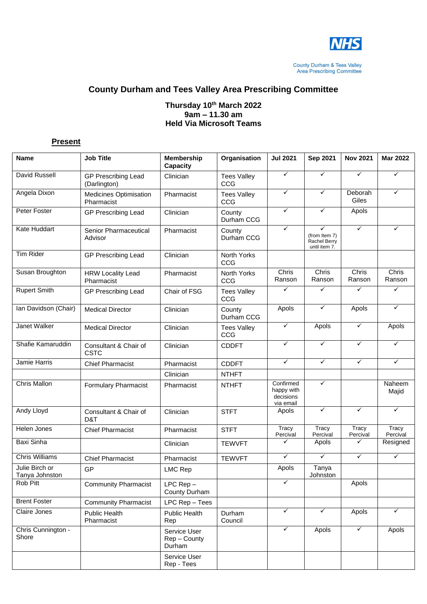

**County Durham & Tees Valley<br>Area Prescribing Committee** 

## **County Durham and Tees Valley Area Prescribing Committee**

#### **Thursday 10 th March 2022 9am – 11.30 am Held Via Microsoft Teams**

## **Present**

| <b>Name</b>                       | <b>Job Title</b>                            | <b>Membership</b><br><b>Capacity</b>   | Organisation              | <b>Jul 2021</b>                                   | Sep 2021                                            | <b>Nov 2021</b>   | <b>Mar 2022</b>        |
|-----------------------------------|---------------------------------------------|----------------------------------------|---------------------------|---------------------------------------------------|-----------------------------------------------------|-------------------|------------------------|
| David Russell                     | <b>GP Prescribing Lead</b><br>(Darlington)  | Clinician                              | <b>Tees Valley</b><br>CCG | ✓                                                 | ✓                                                   | ✓                 | ✓                      |
| Angela Dixon                      | <b>Medicines Optimisation</b><br>Pharmacist | Pharmacist                             | <b>Tees Valley</b><br>CCG | ✓                                                 | ✓                                                   | Deborah<br>Giles  | ✓                      |
| Peter Foster                      | <b>GP Prescribing Lead</b>                  | Clinician                              | County<br>Durham CCG      | ✓                                                 | ✓                                                   | Apols             |                        |
| Kate Huddart                      | Senior Pharmaceutical<br>Advisor            | Pharmacist                             | County<br>Durham CCG      | ✓                                                 | ✓<br>(from Item 7)<br>Rachel Berry<br>until item 7. | $\checkmark$      | ✓                      |
| <b>Tim Rider</b>                  | <b>GP Prescribing Lead</b>                  | Clinician                              | North Yorks<br>CCG        |                                                   |                                                     |                   |                        |
| Susan Broughton                   | <b>HRW Locality Lead</b><br>Pharmacist      | Pharmacist                             | North Yorks<br>CCG        | Chris<br>Ranson                                   | Chris<br>Ranson                                     | Chris<br>Ranson   | <b>Chris</b><br>Ranson |
| <b>Rupert Smith</b>               | <b>GP Prescribing Lead</b>                  | Chair of FSG                           | <b>Tees Valley</b><br>CCG | $\checkmark$                                      | ✓                                                   | $\checkmark$      | $\checkmark$           |
| Ian Davidson (Chair)              | <b>Medical Director</b>                     | Clinician                              | County<br>Durham CCG      | Apols                                             | $\checkmark$                                        | Apols             | $\checkmark$           |
| <b>Janet Walker</b>               | <b>Medical Director</b>                     | Clinician                              | <b>Tees Valley</b><br>CCG | ✓                                                 | Apols                                               | ✓                 | Apols                  |
| Shafie Kamaruddin                 | Consultant & Chair of<br><b>CSTC</b>        | Clinician                              | <b>CDDFT</b>              | $\checkmark$                                      | $\checkmark$                                        | $\checkmark$      | $\checkmark$           |
| Jamie Harris                      | <b>Chief Pharmacist</b>                     | Pharmacist                             | <b>CDDFT</b>              | $\checkmark$                                      | $\checkmark$                                        | $\checkmark$      | $\checkmark$           |
|                                   |                                             | Clinician                              | <b>NTHFT</b>              |                                                   |                                                     |                   |                        |
| Chris Mallon                      | <b>Formulary Pharmacist</b>                 | Pharmacist                             | <b>NTHFT</b>              | Confirmed<br>happy with<br>decisions<br>via email | ✓                                                   |                   | Naheem<br>Majid        |
| Andy Lloyd                        | Consultant & Chair of<br>D&T                | Clinician                              | <b>STFT</b>               | Apols                                             | $\checkmark$                                        | $\checkmark$      | $\checkmark$           |
| Helen Jones                       | <b>Chief Pharmacist</b>                     | Pharmacist                             | <b>STFT</b>               | Tracy<br>Percival                                 | Tracy<br>Percival                                   | Tracy<br>Percival | Tracy<br>Percival      |
| <b>Baxi Sinha</b>                 |                                             | Clinician                              | <b>TEWVFT</b>             | ✓                                                 | Apols                                               | ✓                 | Resigned               |
| <b>Chris Williams</b>             | <b>Chief Pharmacist</b>                     | Pharmacist                             | <b>TEWVFT</b>             | $\checkmark$                                      | $\checkmark$                                        | $\checkmark$      | $\checkmark$           |
| Julie Birch or<br>I anya Johnston | GP                                          | <b>LMC Rep</b>                         |                           | Apols                                             | Tanya<br>Johnston                                   |                   |                        |
| Rob Pitt                          | <b>Community Pharmacist</b>                 | $LPC Rep -$<br>County Durham           |                           |                                                   |                                                     | Apols             |                        |
| <b>Brent Foster</b>               | <b>Community Pharmacist</b>                 | LPC Rep - Tees                         |                           |                                                   |                                                     |                   |                        |
| Claire Jones                      | Public Health<br>Pharmacist                 | Public Health<br>Rep                   | Durham<br>Council         | ✓                                                 | $\checkmark$                                        | Apols             | $\checkmark$           |
| Chris Cunnington -<br>Shore       |                                             | Service User<br>Rep - County<br>Durham |                           | ✓                                                 | Apols                                               | $\checkmark$      | Apols                  |
|                                   |                                             | Service User<br>Rep - Tees             |                           |                                                   |                                                     |                   |                        |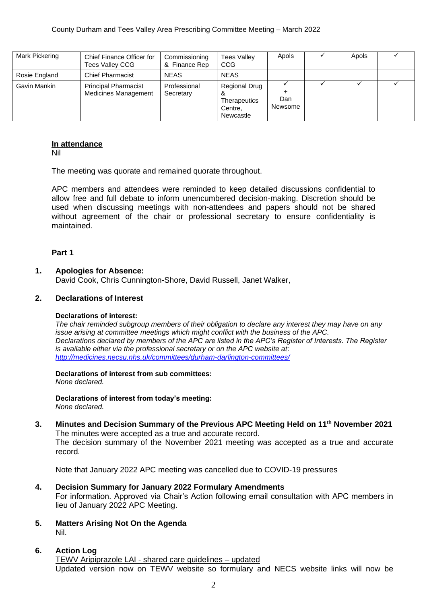| Mark Pickering | Chief Finance Officer for<br><b>Tees Valley CCG</b>        | Commissioning<br>& Finance Rep | <b>Tees Valley</b><br>CCG                             | Apols          | Apols |  |
|----------------|------------------------------------------------------------|--------------------------------|-------------------------------------------------------|----------------|-------|--|
| Rosie England  | <b>Chief Pharmacist</b>                                    | <b>NEAS</b>                    | <b>NEAS</b>                                           |                |       |  |
| Gavin Mankin   | <b>Principal Pharmacist</b><br><b>Medicines Management</b> | Professional<br>Secretary      | Regional Drug<br>Therapeutics<br>Centre,<br>Newcastle | Dan<br>Newsome |       |  |

#### **In attendance**

Nil

The meeting was quorate and remained quorate throughout.

APC members and attendees were reminded to keep detailed discussions confidential to allow free and full debate to inform unencumbered decision-making. Discretion should be used when discussing meetings with non-attendees and papers should not be shared without agreement of the chair or professional secretary to ensure confidentiality is maintained.

#### **Part 1**

#### **1. Apologies for Absence:**

David Cook, Chris Cunnington-Shore, David Russell, Janet Walker,

#### **2. Declarations of Interest**

#### **Declarations of interest:**

*The chair reminded subgroup members of their obligation to declare any interest they may have on any issue arising at committee meetings which might conflict with the business of the APC. Declarations declared by members of the APC are listed in the APC's Register of Interests. The Register is available either via the professional secretary or on the APC website at: <http://medicines.necsu.nhs.uk/committees/durham-darlington-committees/>*

**Declarations of interest from sub committees:** *None declared.*

**Declarations of interest from today's meeting:** *None declared.*

**3. Minutes and Decision Summary of the Previous APC Meeting Held on 11th November 2021** The minutes were accepted as a true and accurate record. The decision summary of the November 2021 meeting was accepted as a true and accurate record.

Note that January 2022 APC meeting was cancelled due to COVID-19 pressures

- **4. Decision Summary for January 2022 Formulary Amendments** For information. Approved via Chair's Action following email consultation with APC members in lieu of January 2022 APC Meeting.
- **5. Matters Arising Not On the Agenda** Nil.

#### **6. Action Log** TEWV Aripiprazole LAI - shared care guidelines – updated Updated version now on TEWV website so formulary and NECS website links will now be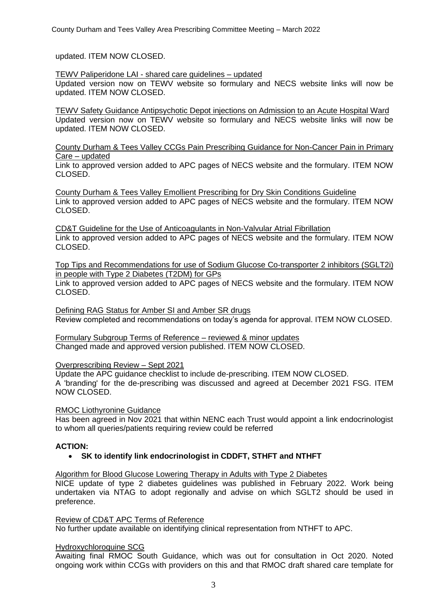updated. ITEM NOW CLOSED.

TEWV Paliperidone LAI - shared care guidelines – updated

Updated version now on TEWV website so formulary and NECS website links will now be updated. ITEM NOW CLOSED.

TEWV Safety Guidance Antipsychotic Depot injections on Admission to an Acute Hospital Ward Updated version now on TEWV website so formulary and NECS website links will now be updated. ITEM NOW CLOSED.

County Durham & Tees Valley CCGs Pain Prescribing Guidance for Non-Cancer Pain in Primary Care – updated

Link to approved version added to APC pages of NECS website and the formulary. ITEM NOW CLOSED.

County Durham & Tees Valley Emollient Prescribing for Dry Skin Conditions Guideline Link to approved version added to APC pages of NECS website and the formulary. ITEM NOW CLOSED.

CD&T Guideline for the Use of Anticoagulants in Non-Valvular Atrial Fibrillation Link to approved version added to APC pages of NECS website and the formulary. ITEM NOW CLOSED.

Top Tips and Recommendations for use of Sodium Glucose Co-transporter 2 inhibitors (SGLT2i) in people with Type 2 Diabetes (T2DM) for GPs

Link to approved version added to APC pages of NECS website and the formulary. ITEM NOW CLOSED.

Defining RAG Status for Amber SI and Amber SR drugs Review completed and recommendations on today's agenda for approval. ITEM NOW CLOSED.

Formulary Subgroup Terms of Reference – reviewed & minor updates Changed made and approved version published. ITEM NOW CLOSED.

## Overprescribing Review – Sept 2021

Update the APC guidance checklist to include de-prescribing. ITEM NOW CLOSED. A 'branding' for the de-prescribing was discussed and agreed at December 2021 FSG. ITEM NOW CLOSED.

## RMOC Liothyronine Guidance

Has been agreed in Nov 2021 that within NENC each Trust would appoint a link endocrinologist to whom all queries/patients requiring review could be referred

## **ACTION:**

• **SK to identify link endocrinologist in CDDFT, STHFT and NTHFT**

#### Algorithm for Blood Glucose Lowering Therapy in Adults with Type 2 Diabetes

NICE update of type 2 diabetes guidelines was published in February 2022. Work being undertaken via NTAG to adopt regionally and advise on which SGLT2 should be used in preference.

#### Review of CD&T APC Terms of Reference

No further update available on identifying clinical representation from NTHFT to APC.

## Hydroxychloroquine SCG

Awaiting final RMOC South Guidance, which was out for consultation in Oct 2020. Noted ongoing work within CCGs with providers on this and that RMOC draft shared care template for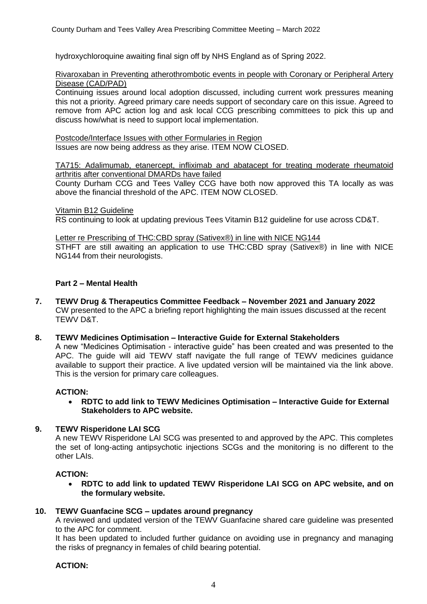hydroxychloroquine awaiting final sign off by NHS England as of Spring 2022.

Rivaroxaban in Preventing atherothrombotic events in people with Coronary or Peripheral Artery Disease (CAD/PAD)

Continuing issues around local adoption discussed, including current work pressures meaning this not a priority. Agreed primary care needs support of secondary care on this issue. Agreed to remove from APC action log and ask local CCG prescribing committees to pick this up and discuss how/what is need to support local implementation.

Postcode/Interface Issues with other Formularies in Region Issues are now being address as they arise. ITEM NOW CLOSED.

TA715: Adalimumab, etanercept, infliximab and abatacept for treating moderate rheumatoid arthritis after conventional DMARDs have failed

County Durham CCG and Tees Valley CCG have both now approved this TA locally as was above the financial threshold of the APC. ITEM NOW CLOSED.

Vitamin B12 Guideline

RS continuing to look at updating previous Tees Vitamin B12 guideline for use across CD&T.

Letter re Prescribing of THC:CBD spray (Sativex®) in line with NICE NG144 STHFT are still awaiting an application to use THC:CBD spray (Sativex®) in line with NICE NG144 from their neurologists.

## **Part 2 – Mental Health**

- **7. TEWV Drug & Therapeutics Committee Feedback – November 2021 and January 2022** CW presented to the APC a briefing report highlighting the main issues discussed at the recent TEWV D&T.
- **8. TEWV Medicines Optimisation – Interactive Guide for External Stakeholders**

A new "Medicines Optimisation - interactive guide" has been created and was presented to the APC. The guide will aid TEWV staff navigate the full range of TEWV medicines guidance available to support their practice. A live updated version will be maintained via the link above. This is the version for primary care colleagues.

#### **ACTION:**

• **RDTC to add link to TEWV Medicines Optimisation – Interactive Guide for External Stakeholders to APC website.**

#### **9. TEWV Risperidone LAI SCG**

A new TEWV Risperidone LAI SCG was presented to and approved by the APC. This completes the set of long-acting antipsychotic injections SCGs and the monitoring is no different to the other LAIs.

#### **ACTION:**

• **RDTC to add link to updated TEWV Risperidone LAI SCG on APC website, and on the formulary website.**

#### **10. TEWV Guanfacine SCG – updates around pregnancy**

A reviewed and updated version of the TEWV Guanfacine shared care guideline was presented to the APC for comment.

It has been updated to included further guidance on avoiding use in pregnancy and managing the risks of pregnancy in females of child bearing potential.

## **ACTION:**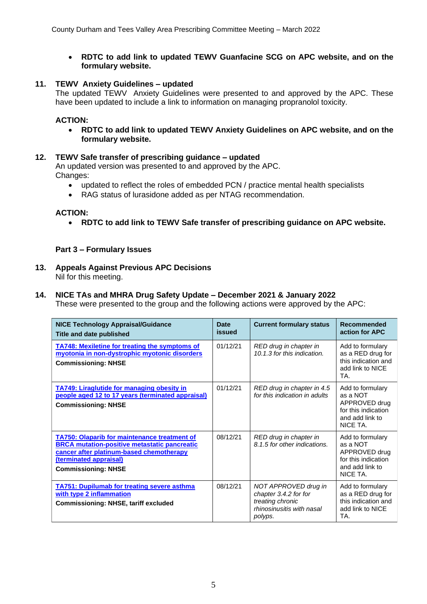## • **RDTC to add link to updated TEWV Guanfacine SCG on APC website, and on the formulary website.**

## **11. TEWV Anxiety Guidelines – updated**

The updated TEWV Anxiety Guidelines were presented to and approved by the APC. These have been updated to include a link to information on managing propranolol toxicity.

## **ACTION:**

• **RDTC to add link to updated TEWV Anxiety Guidelines on APC website, and on the formulary website.**

## **12. TEWV Safe transfer of prescribing guidance – updated**

An updated version was presented to and approved by the APC. Changes:

- updated to reflect the roles of embedded PCN / practice mental health specialists
- RAG status of lurasidone added as per NTAG recommendation.

## **ACTION:**

• **RDTC to add link to TEWV Safe transfer of prescribing guidance on APC website.**

## **Part 3 – Formulary Issues**

**13. Appeals Against Previous APC Decisions** Nil for this meeting.

# **14. NICE TAs and MHRA Drug Safety Update – December 2021 & January 2022**

These were presented to the group and the following actions were approved by the APC:

| <b>NICE Technology Appraisal/Guidance</b><br>Title and date published                                                                                                                                          | <b>Date</b><br>issued | <b>Current formulary status</b>                                                                           | Recommended<br>action for APC                                                                       |
|----------------------------------------------------------------------------------------------------------------------------------------------------------------------------------------------------------------|-----------------------|-----------------------------------------------------------------------------------------------------------|-----------------------------------------------------------------------------------------------------|
| <b>TA748: Mexiletine for treating the symptoms of</b><br>myotonia in non-dystrophic myotonic disorders<br><b>Commissioning: NHSE</b>                                                                           | 01/12/21              | RED drug in chapter in<br>10.1.3 for this indication.                                                     | Add to formulary<br>as a RED drug for<br>this indication and<br>add link to NICE<br>TA.             |
| <b>TA749: Liraglutide for managing obesity in</b><br>people aged 12 to 17 years (terminated appraisal)<br><b>Commissioning: NHSE</b>                                                                           | 01/12/21              | RED drug in chapter in 4.5<br>for this indication in adults                                               | Add to formulary<br>as a NOT<br>APPROVED drug<br>for this indication<br>and add link to<br>NICE TA. |
| <b>TA750: Olaparib for maintenance treatment of</b><br><b>BRCA mutation-positive metastatic pancreatic</b><br>cancer after platinum-based chemotherapy<br>(terminated appraisal)<br><b>Commissioning: NHSE</b> | 08/12/21              | RED drug in chapter in<br>8.1.5 for other indications.                                                    | Add to formulary<br>as a NOT<br>APPROVED drug<br>for this indication<br>and add link to<br>NICE TA. |
| <b>TA751: Dupilumab for treating severe asthma</b><br>with type 2 inflammation<br><b>Commissioning: NHSE, tariff excluded</b>                                                                                  | 08/12/21              | NOT APPROVED drug in<br>chapter 3.4.2 for for<br>treating chronic<br>rhinosinusitis with nasal<br>polyps. | Add to formulary<br>as a RED drug for<br>this indication and<br>add link to NICE<br>TA.             |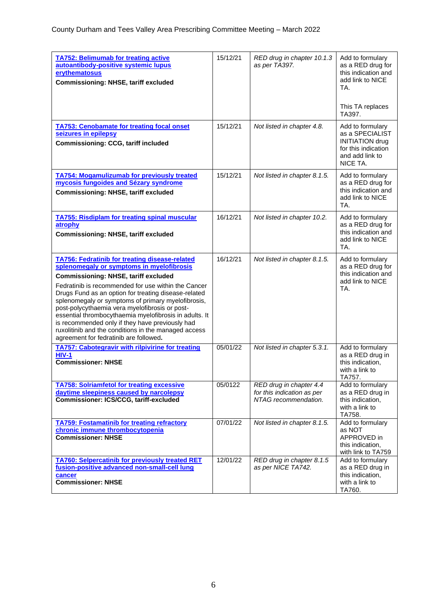| <b>TA752: Belimumab for treating active</b><br>autoantibody-positive systemic lupus<br>erythematosus<br><b>Commissioning: NHSE, tariff excluded</b>                                                                                                                                                                                                                                                                                                                                                                                                                                     | 15/12/21 | RED drug in chapter 10.1.3<br>as per TA397.                                   | Add to formulary<br>as a RED drug for<br>this indication and<br>add link to NICE<br>TA.<br>This TA replaces<br>TA397. |
|-----------------------------------------------------------------------------------------------------------------------------------------------------------------------------------------------------------------------------------------------------------------------------------------------------------------------------------------------------------------------------------------------------------------------------------------------------------------------------------------------------------------------------------------------------------------------------------------|----------|-------------------------------------------------------------------------------|-----------------------------------------------------------------------------------------------------------------------|
| <b>TA753: Cenobamate for treating focal onset</b><br>seizures in epilepsy<br>Commissioning: CCG, tariff included                                                                                                                                                                                                                                                                                                                                                                                                                                                                        | 15/12/21 | Not listed in chapter 4.8.                                                    | Add to formulary<br>as a SPECIALIST<br><b>INITIATION drug</b><br>for this indication<br>and add link to<br>NICE TA.   |
| <b>TA754: Mogamulizumab for previously treated</b><br>mycosis fungoides and Sézary syndrome<br><b>Commissioning: NHSE, tariff excluded</b>                                                                                                                                                                                                                                                                                                                                                                                                                                              | 15/12/21 | Not listed in chapter 8.1.5.                                                  | Add to formulary<br>as a RED drug for<br>this indication and<br>add link to NICE<br>TA.                               |
| <b>TA755: Risdiplam for treating spinal muscular</b><br>atrophy<br><b>Commissioning: NHSE, tariff excluded</b>                                                                                                                                                                                                                                                                                                                                                                                                                                                                          | 16/12/21 | Not listed in chapter 10.2.                                                   | Add to formulary<br>as a RED drug for<br>this indication and<br>add link to NICE<br>TA.                               |
| <b>TA756: Fedratinib for treating disease-related</b><br>splenomegaly or symptoms in myelofibrosis<br><b>Commissioning: NHSE, tariff excluded</b><br>Fedratinib is recommended for use within the Cancer<br>Drugs Fund as an option for treating disease-related<br>splenomegaly or symptoms of primary myelofibrosis,<br>post-polycythaemia vera myelofibrosis or post-<br>essential thrombocythaemia myelofibrosis in adults. It<br>is recommended only if they have previously had<br>ruxolitinib and the conditions in the managed access<br>agreement for fedratinib are followed. | 16/12/21 | Not listed in chapter 8.1.5.                                                  | Add to formulary<br>as a RED drug for<br>this indication and<br>add link to NICE<br>TA.                               |
| <b>TA757: Cabotegravir with rilpivirine for treating</b><br><b>HIV-1</b><br><b>Commissioner: NHSE</b>                                                                                                                                                                                                                                                                                                                                                                                                                                                                                   | 05/01/22 | Not listed in chapter 5.3.1.                                                  | Add to formulary<br>as a RED drug in<br>this indication,<br>with a link to<br>TA757.                                  |
| <b>TA758: Solriamfetol for treating excessive</b><br>daytime sleepiness caused by narcolepsy<br>Commissioner: ICS/CCG, tariff-excluded                                                                                                                                                                                                                                                                                                                                                                                                                                                  | 05/0122  | RED drug in chapter 4.4<br>for this indication as per<br>NTAG recommendation. | Add to formulary<br>as a RED drug in<br>this indication,<br>with a link to<br>TA758.                                  |
| <b>TA759: Fostamatinib for treating refractory</b><br>chronic immune thrombocytopenia<br><b>Commissioner: NHSE</b>                                                                                                                                                                                                                                                                                                                                                                                                                                                                      | 07/01/22 | Not listed in chapter 8.1.5.                                                  | Add to formulary<br>as NOT<br>APPROVED in<br>this indication,<br>with link to TA759                                   |
| <b>TA760: Selpercatinib for previously treated RET</b><br>fusion-positive advanced non-small-cell lung<br>cancer<br><b>Commissioner: NHSE</b>                                                                                                                                                                                                                                                                                                                                                                                                                                           | 12/01/22 | RED drug in chapter 8.1.5<br>as per NICE TA742.                               | Add to formulary<br>as a RED drug in<br>this indication,<br>with a link to<br>TA760.                                  |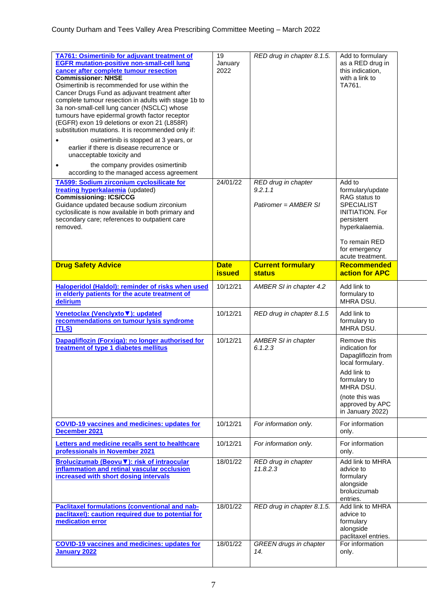| <b>TA761: Osimertinib for adjuvant treatment of</b><br><b>EGFR mutation-positive non-small-cell lung</b><br>cancer after complete tumour resection<br><b>Commissioner: NHSE</b><br>Osimertinib is recommended for use within the<br>Cancer Drugs Fund as adjuvant treatment after<br>complete tumour resection in adults with stage 1b to<br>3a non-small-cell lung cancer (NSCLC) whose<br>tumours have epidermal growth factor receptor<br>(EGFR) exon 19 deletions or exon 21 (L858R)<br>substitution mutations. It is recommended only if:<br>osimertinib is stopped at 3 years, or<br>earlier if there is disease recurrence or<br>unacceptable toxicity and<br>the company provides osimertinib<br>٠ | 19<br>January<br>2022        | RED drug in chapter 8.1.5.                                  | Add to formulary<br>as a RED drug in<br>this indication,<br>with a link to<br>TA761.                                                                                             |  |
|------------------------------------------------------------------------------------------------------------------------------------------------------------------------------------------------------------------------------------------------------------------------------------------------------------------------------------------------------------------------------------------------------------------------------------------------------------------------------------------------------------------------------------------------------------------------------------------------------------------------------------------------------------------------------------------------------------|------------------------------|-------------------------------------------------------------|----------------------------------------------------------------------------------------------------------------------------------------------------------------------------------|--|
| according to the managed access agreement<br>TA599: Sodium zirconium cyclosilicate for<br>treating hyperkalaemia (updated)<br><b>Commissioning: ICS/CCG</b><br>Guidance updated because sodium zirconium<br>cyclosilicate is now available in both primary and<br>secondary care; references to outpatient care<br>removed.                                                                                                                                                                                                                                                                                                                                                                                | 24/01/22                     | RED drug in chapter<br>9.2.1.1<br>Patiromer = AMBER SI      | Add to<br>formulary/update<br>RAG status to<br><b>SPECIALIST</b><br><b>INITIATION, For</b><br>persistent<br>hyperkalaemia.<br>To remain RED<br>for emergency<br>acute treatment. |  |
| <b>Drug Safety Advice</b>                                                                                                                                                                                                                                                                                                                                                                                                                                                                                                                                                                                                                                                                                  | <b>Date</b><br><b>issued</b> | <b>Current formulary</b><br><b>status</b>                   | <b>Recommended</b><br>action for APC                                                                                                                                             |  |
| Haloperidol (Haldol): reminder of risks when used<br>in elderly patients for the acute treatment of<br>delirium                                                                                                                                                                                                                                                                                                                                                                                                                                                                                                                                                                                            | 10/12/21                     | AMBER SI in chapter 4.2                                     | Add link to<br>formulary to<br>MHRA DSU.                                                                                                                                         |  |
| Venetoclax (Venclyxto V): updated                                                                                                                                                                                                                                                                                                                                                                                                                                                                                                                                                                                                                                                                          | 10/12/21                     | RED drug in chapter 8.1.5                                   | Add link to                                                                                                                                                                      |  |
| recommendations on tumour lysis syndrome<br>(TLS)                                                                                                                                                                                                                                                                                                                                                                                                                                                                                                                                                                                                                                                          |                              |                                                             | formulary to<br>MHRA DSU.                                                                                                                                                        |  |
| Dapagliflozin (Forxiga): no longer authorised for<br>treatment of type 1 diabetes mellitus                                                                                                                                                                                                                                                                                                                                                                                                                                                                                                                                                                                                                 | 10/12/21                     | <b>AMBER SI in chapter</b><br>6.1.2.3                       | Remove this<br>indication for<br>Dapagliflozin from<br>local formulary.<br>Add link to<br>formulary to<br>MHRA DSU.<br>(note this was<br>approved by APC<br>in January 2022)     |  |
| <b>COVID-19 vaccines and medicines: updates for</b><br>December 2021                                                                                                                                                                                                                                                                                                                                                                                                                                                                                                                                                                                                                                       | 10/12/21                     | For information only.                                       | For information<br>only.                                                                                                                                                         |  |
| Letters and medicine recalls sent to healthcare<br>professionals in November 2021                                                                                                                                                                                                                                                                                                                                                                                                                                                                                                                                                                                                                          | 10/12/21                     | For information only.                                       | For information<br>only.                                                                                                                                                         |  |
| Brolucizumab (Beovu V): risk of intraocular<br>inflammation and retinal vascular occlusion<br>increased with short dosing intervals                                                                                                                                                                                                                                                                                                                                                                                                                                                                                                                                                                        | 18/01/22                     | RED drug in chapter<br>11.8.2.3                             | Add link to MHRA<br>advice to<br>formulary<br>alongside<br>brolucizumab<br>entries.                                                                                              |  |
| <b>Paclitaxel formulations (conventional and nab-</b><br>paclitaxel): caution required due to potential for<br>medication error<br><b>COVID-19 vaccines and medicines: updates for</b>                                                                                                                                                                                                                                                                                                                                                                                                                                                                                                                     | 18/01/22                     | RED drug in chapter 8.1.5.<br><b>GREEN</b> drugs in chapter | Add link to MHRA<br>advice to<br>formulary<br>alongside<br>paclitaxel entries.<br>For information                                                                                |  |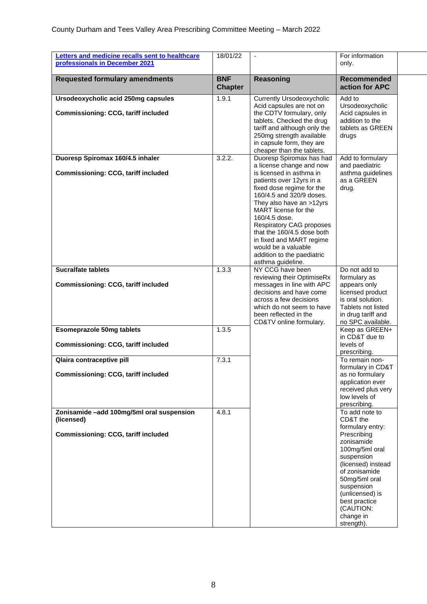| Letters and medicine recalls sent to healthcare                                   | 18/01/22                     | $\blacksquare$                                                                                                                                                                                                                                                                                                                                                                                                    | For information                                                                                                                                                                                             |  |
|-----------------------------------------------------------------------------------|------------------------------|-------------------------------------------------------------------------------------------------------------------------------------------------------------------------------------------------------------------------------------------------------------------------------------------------------------------------------------------------------------------------------------------------------------------|-------------------------------------------------------------------------------------------------------------------------------------------------------------------------------------------------------------|--|
| professionals in December 2021                                                    |                              |                                                                                                                                                                                                                                                                                                                                                                                                                   | only.                                                                                                                                                                                                       |  |
| <b>Requested formulary amendments</b>                                             | <b>BNF</b><br><b>Chapter</b> | Reasoning                                                                                                                                                                                                                                                                                                                                                                                                         | <b>Recommended</b><br>action for APC                                                                                                                                                                        |  |
| Ursodeoxycholic acid 250mg capsules<br><b>Commissioning: CCG, tariff included</b> | 1.9.1                        | <b>Currently Ursodeoxycholic</b><br>Acid capsules are not on<br>the CDTV formulary, only<br>tablets. Checked the drug<br>tariff and although only the<br>250mg strength available<br>in capsule form, they are<br>cheaper than the tablets.                                                                                                                                                                       | Add to<br>Ursodeoxycholic<br>Acid capsules in<br>addition to the<br>tablets as GREEN<br>drugs                                                                                                               |  |
| Duoresp Spiromax 160/4.5 inhaler<br><b>Commissioning: CCG, tariff included</b>    | 3.2.2.                       | Duoresp Spiromax has had<br>a license change and now<br>is licensed in asthma in<br>patients over 12yrs in a<br>fixed dose regime for the<br>160/4.5 and 320/9 doses.<br>They also have an >12yrs<br>MART license for the<br>160/4.5 dose.<br><b>Respiratory CAG proposes</b><br>that the 160/4.5 dose both<br>in fixed and MART regime<br>would be a valuable<br>addition to the paediatric<br>asthma guideline. | Add to formulary<br>and paediatric<br>asthma guidelines<br>as a GREEN<br>drug.                                                                                                                              |  |
| <b>Sucralfate tablets</b><br>Commissioning: CCG, tariff included                  | 1.3.3                        | NY CCG have been<br>reviewing their OptimiseRx<br>messages in line with APC<br>decisions and have come<br>across a few decisions<br>which do not seem to have<br>been reflected in the<br>CD&TV online formulary.                                                                                                                                                                                                 | Do not add to<br>formulary as<br>appears only<br>licensed product<br>is oral solution.<br>Tablets not listed<br>in drug tariff and<br>no SPC available.                                                     |  |
| <b>Esomeprazole 50mg tablets</b><br><b>Commissioning: CCG, tariff included</b>    | 1.3.5                        |                                                                                                                                                                                                                                                                                                                                                                                                                   | Keep as GREEN+<br>in CD&T due to<br>levels of                                                                                                                                                               |  |
|                                                                                   |                              |                                                                                                                                                                                                                                                                                                                                                                                                                   | prescribing.                                                                                                                                                                                                |  |
| Qlaira contraceptive pill<br><b>Commissioning: CCG, tariff included</b>           | 7.3.1                        |                                                                                                                                                                                                                                                                                                                                                                                                                   | To remain non-<br>formulary in CD&T<br>as no formulary<br>application ever<br>received plus very<br>low levels of<br>prescribing.                                                                           |  |
| Zonisamide -add 100mg/5ml oral suspension<br>(licensed)                           | 4.8.1                        |                                                                                                                                                                                                                                                                                                                                                                                                                   | To add note to<br>CD&T the<br>formulary entry:                                                                                                                                                              |  |
| <b>Commissioning: CCG, tariff included</b>                                        |                              |                                                                                                                                                                                                                                                                                                                                                                                                                   | Prescribing<br>zonisamide<br>100mg/5ml oral<br>suspension<br>(licensed) instead<br>of zonisamide<br>50mg/5ml oral<br>suspension<br>(unlicensed) is<br>best practice<br>(CAUTION:<br>change in<br>strength). |  |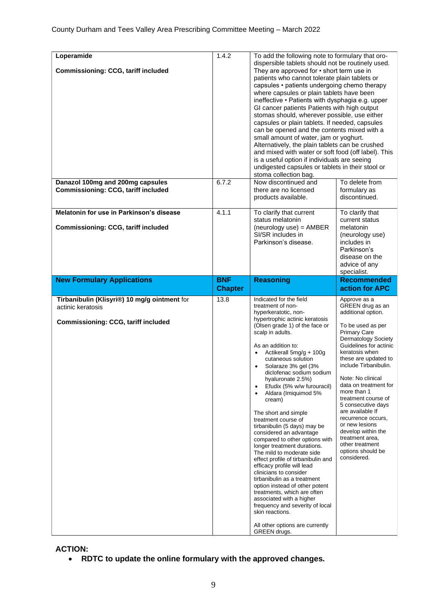| Loperamide<br><b>Commissioning: CCG, tariff included</b><br>Danazol 100mg and 200mg capsules                    | 1.4.2<br>6.7.2               | To add the following note to formulary that oro-<br>dispersible tablets should not be routinely used.<br>They are approved for • short term use in<br>patients who cannot tolerate plain tablets or<br>capsules • patients undergoing chemo therapy<br>where capsules or plain tablets have been<br>ineffective • Patients with dysphagia e.g. upper<br>GI cancer patients Patients with high output<br>stomas should, wherever possible, use either<br>capsules or plain tablets. If needed, capsules<br>can be opened and the contents mixed with a<br>small amount of water, jam or yoghurt.<br>Alternatively, the plain tablets can be crushed<br>and mixed with water or soft food (off label). This<br>is a useful option if individuals are seeing<br>undigested capsules or tablets in their stool or<br>stoma collection bag.<br>Now discontinued and<br>To delete from |                                                                                                                                                                                                                                                                                                                                                                                                                                                                                                     |
|-----------------------------------------------------------------------------------------------------------------|------------------------------|----------------------------------------------------------------------------------------------------------------------------------------------------------------------------------------------------------------------------------------------------------------------------------------------------------------------------------------------------------------------------------------------------------------------------------------------------------------------------------------------------------------------------------------------------------------------------------------------------------------------------------------------------------------------------------------------------------------------------------------------------------------------------------------------------------------------------------------------------------------------------------|-----------------------------------------------------------------------------------------------------------------------------------------------------------------------------------------------------------------------------------------------------------------------------------------------------------------------------------------------------------------------------------------------------------------------------------------------------------------------------------------------------|
| <b>Commissioning: CCG, tariff included</b>                                                                      |                              | there are no licensed<br>products available.                                                                                                                                                                                                                                                                                                                                                                                                                                                                                                                                                                                                                                                                                                                                                                                                                                     | formulary as<br>discontinued.                                                                                                                                                                                                                                                                                                                                                                                                                                                                       |
| Melatonin for use in Parkinson's disease<br><b>Commissioning: CCG, tariff included</b>                          | 4.1.1                        | To clarify that current<br>status melatonin<br>$(newology use) = AMBER$<br>SI/SR includes in<br>Parkinson's disease.                                                                                                                                                                                                                                                                                                                                                                                                                                                                                                                                                                                                                                                                                                                                                             | To clarify that<br>current status<br>melatonin<br>(neurology use)<br>includes in<br>Parkinson's<br>disease on the<br>advice of any<br>specialist.                                                                                                                                                                                                                                                                                                                                                   |
| <b>New Formulary Applications</b>                                                                               | <b>BNF</b><br><b>Chapter</b> | <b>Reasoning</b>                                                                                                                                                                                                                                                                                                                                                                                                                                                                                                                                                                                                                                                                                                                                                                                                                                                                 | <b>Recommended</b><br>action for APC                                                                                                                                                                                                                                                                                                                                                                                                                                                                |
| Tirbanibulin (Klisyri®) 10 mg/g ointment for<br>actinic keratosis<br><b>Commissioning: CCG, tariff included</b> | 13.8                         | Indicated for the field<br>treatment of non-<br>hyperkeratotic, non-<br>hypertrophic actinic keratosis<br>(Olsen grade 1) of the face or<br>scalp in adults.<br>As an addition to:<br>Actikerall 5mg/g + 100g<br>cutaneous solution<br>Solaraze 3% gel (3%<br>diclofenac sodium sodium<br>hyaluronate 2.5%)<br>Efudix (5% w/w furouracil)<br>$\bullet$<br>Aldara (Imiquimod 5%<br>cream)<br>The short and simple<br>treatment course of<br>tirbanibulin (5 days) may be<br>considered an advantage<br>compared to other options with<br>longer treatment durations.<br>The mild to moderate side<br>effect profile of tirbanibulin and<br>efficacy profile will lead<br>clinicians to consider<br>tirbanibulin as a treatment                                                                                                                                                    | Approve as a<br>GREEN drug as an<br>additional option.<br>To be used as per<br><b>Primary Care</b><br><b>Dermatology Society</b><br>Guidelines for actinic<br>keratosis when<br>these are updated to<br>include Tirbanibulin.<br>Note: No clinical<br>data on treatment for<br>more than 1<br>treatment course of<br>5 consecutive days<br>are available If<br>recurrence occurs,<br>or new lesions<br>develop within the<br>treatment area,<br>other treatment<br>options should be<br>considered. |

**ACTION:** 

• **RDTC to update the online formulary with the approved changes.**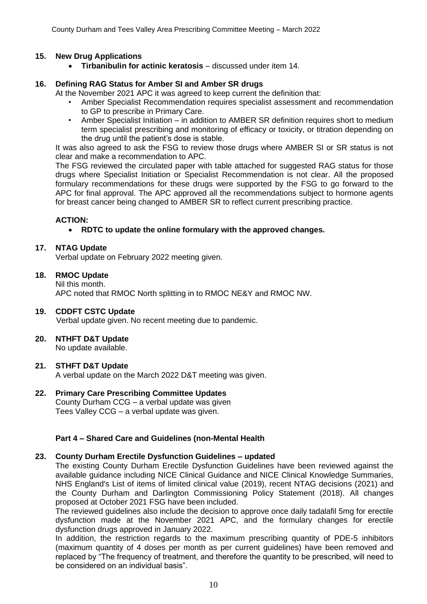## **15. New Drug Applications**

• **Tirbanibulin for actinic keratosis** – discussed under item 14.

#### **16. Defining RAG Status for Amber SI and Amber SR drugs**

At the November 2021 APC it was agreed to keep current the definition that:

- Amber Specialist Recommendation requires specialist assessment and recommendation to GP to prescribe in Primary Care.
- Amber Specialist Initiation in addition to AMBER SR definition requires short to medium term specialist prescribing and monitoring of efficacy or toxicity, or titration depending on the drug until the patient's dose is stable.

It was also agreed to ask the FSG to review those drugs where AMBER SI or SR status is not clear and make a recommendation to APC.

The FSG reviewed the circulated paper with table attached for suggested RAG status for those drugs where Specialist Initiation or Specialist Recommendation is not clear. All the proposed formulary recommendations for these drugs were supported by the FSG to go forward to the APC for final approval. The APC approved all the recommendations subject to hormone agents for breast cancer being changed to AMBER SR to reflect current prescribing practice.

## **ACTION:**

## • **RDTC to update the online formulary with the approved changes.**

#### **17. NTAG Update**

Verbal update on February 2022 meeting given.

#### **18. RMOC Update**

Nil this month. APC noted that RMOC North splitting in to RMOC NE&Y and RMOC NW.

#### **19. CDDFT CSTC Update**

Verbal update given. No recent meeting due to pandemic.

#### **20. NTHFT D&T Update**

No update available.

## **21. STHFT D&T Update**

A verbal update on the March 2022 D&T meeting was given.

## **22. Primary Care Prescribing Committee Updates**

County Durham CCG – a verbal update was given Tees Valley CCG – a verbal update was given.

## **Part 4 – Shared Care and Guidelines (non-Mental Health**

#### **23. County Durham Erectile Dysfunction Guidelines – updated**

The existing County Durham Erectile Dysfunction Guidelines have been reviewed against the available guidance including NICE Clinical Guidance and NICE Clinical Knowledge Summaries, NHS England's List of items of limited clinical value (2019), recent NTAG decisions (2021) and the County Durham and Darlington Commissioning Policy Statement (2018). All changes proposed at October 2021 FSG have been included.

The reviewed guidelines also include the decision to approve once daily tadalafil 5mg for erectile dysfunction made at the November 2021 APC, and the formulary changes for erectile dysfunction drugs approved in January 2022.

In addition, the restriction regards to the maximum prescribing quantity of PDE-5 inhibitors (maximum quantity of 4 doses per month as per current guidelines) have been removed and replaced by "The frequency of treatment, and therefore the quantity to be prescribed, will need to be considered on an individual basis".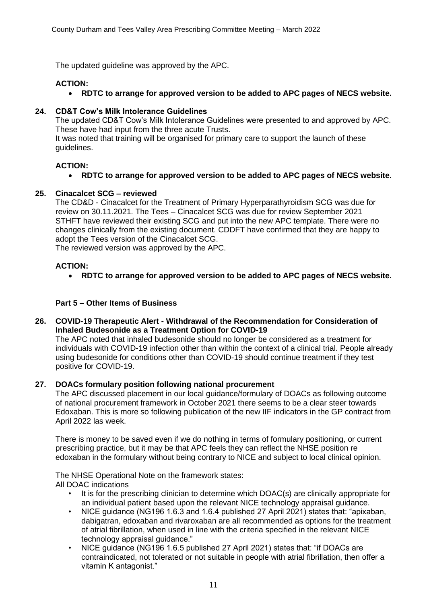The updated guideline was approved by the APC.

## **ACTION:**

• **RDTC to arrange for approved version to be added to APC pages of NECS website.**

## **24. CD&T Cow's Milk Intolerance Guidelines**

The updated CD&T Cow's Milk Intolerance Guidelines were presented to and approved by APC. These have had input from the three acute Trusts.

It was noted that training will be organised for primary care to support the launch of these guidelines.

## **ACTION:**

• **RDTC to arrange for approved version to be added to APC pages of NECS website.**

## **25. Cinacalcet SCG – reviewed**

The CD&D - Cinacalcet for the Treatment of Primary Hyperparathyroidism SCG was due for review on 30.11.2021. The Tees – Cinacalcet SCG was due for review September 2021 STHFT have reviewed their existing SCG and put into the new APC template. There were no changes clinically from the existing document. CDDFT have confirmed that they are happy to adopt the Tees version of the Cinacalcet SCG.

The reviewed version was approved by the APC.

## **ACTION:**

• **RDTC to arrange for approved version to be added to APC pages of NECS website.**

## **Part 5 – Other Items of Business**

**26. COVID-19 Therapeutic Alert - Withdrawal of the Recommendation for Consideration of Inhaled Budesonide as a Treatment Option for COVID-19**

The APC noted that inhaled budesonide should no longer be considered as a treatment for individuals with COVID-19 infection other than within the context of a clinical trial. People already using budesonide for conditions other than COVID-19 should continue treatment if they test positive for COVID-19.

## **27. DOACs formulary position following national procurement**

The APC discussed placement in our local guidance/formulary of DOACs as following outcome of national procurement framework in October 2021 there seems to be a clear steer towards Edoxaban. This is more so following publication of the new IIF indicators in the GP contract from April 2022 las week.

There is money to be saved even if we do nothing in terms of formulary positioning, or current prescribing practice, but it may be that APC feels they can reflect the NHSE position re edoxaban in the formulary without being contrary to NICE and subject to local clinical opinion.

The NHSE Operational Note on the framework states: All DOAC indications

- It is for the prescribing clinician to determine which DOAC(s) are clinically appropriate for an individual patient based upon the relevant NICE technology appraisal guidance.
- NICE guidance (NG196 1.6.3 and 1.6.4 published 27 April 2021) states that: "apixaban, dabigatran, edoxaban and rivaroxaban are all recommended as options for the treatment of atrial fibrillation, when used in line with the criteria specified in the relevant NICE technology appraisal guidance."
- NICE guidance (NG196 1.6.5 published 27 April 2021) states that: "if DOACs are contraindicated, not tolerated or not suitable in people with atrial fibrillation, then offer a vitamin K antagonist."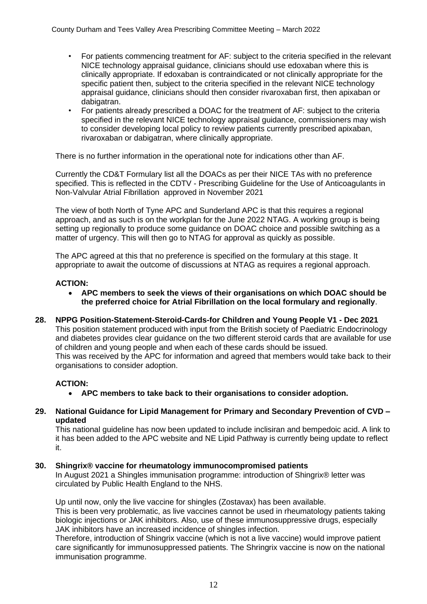- For patients commencing treatment for AF: subject to the criteria specified in the relevant NICE technology appraisal guidance, clinicians should use edoxaban where this is clinically appropriate. If edoxaban is contraindicated or not clinically appropriate for the specific patient then, subject to the criteria specified in the relevant NICE technology appraisal guidance, clinicians should then consider rivaroxaban first, then apixaban or dabigatran.
- For patients already prescribed a DOAC for the treatment of AF: subject to the criteria specified in the relevant NICE technology appraisal guidance, commissioners may wish to consider developing local policy to review patients currently prescribed apixaban, rivaroxaban or dabigatran, where clinically appropriate.

There is no further information in the operational note for indications other than AF.

Currently the CD&T Formulary list all the DOACs as per their NICE TAs with no preference specified. This is reflected in the CDTV - Prescribing Guideline for the Use of Anticoagulants in Non-Valvular Atrial Fibrillation approved in November 2021

The view of both North of Tyne APC and Sunderland APC is that this requires a regional approach, and as such is on the workplan for the June 2022 NTAG. A working group is being setting up regionally to produce some guidance on DOAC choice and possible switching as a matter of urgency. This will then go to NTAG for approval as quickly as possible.

The APC agreed at this that no preference is specified on the formulary at this stage. It appropriate to await the outcome of discussions at NTAG as requires a regional approach.

## **ACTION:**

- **APC members to seek the views of their organisations on which DOAC should be the preferred choice for Atrial Fibrillation on the local formulary and regionally**.
- **28. NPPG Position-Statement-Steroid-Cards-for Children and Young People V1 - Dec 2021** This position statement produced with input from the British society of Paediatric Endocrinology and diabetes provides clear guidance on the two different steroid cards that are available for use of children and young people and when each of these cards should be issued. This was received by the APC for information and agreed that members would take back to their organisations to consider adoption.

## **ACTION:**

- **APC members to take back to their organisations to consider adoption.**
- **29. National Guidance for Lipid Management for Primary and Secondary Prevention of CVD – updated**

This national guideline has now been updated to include inclisiran and bempedoic acid. A link to it has been added to the APC website and NE Lipid Pathway is currently being update to reflect it.

## **30. Shingrix® vaccine for rheumatology immunocompromised patients**

In August 2021 a Shingles immunisation programme: introduction of Shingrix® letter was circulated by Public Health England to the NHS.

Up until now, only the live vaccine for shingles (Zostavax) has been available. This is been very problematic, as live vaccines cannot be used in rheumatology patients taking biologic injections or JAK inhibitors. Also, use of these immunosuppressive drugs, especially JAK inhibitors have an increased incidence of shingles infection.

Therefore, introduction of Shingrix vaccine (which is not a live vaccine) would improve patient care significantly for immunosuppressed patients. The Shringrix vaccine is now on the national immunisation programme.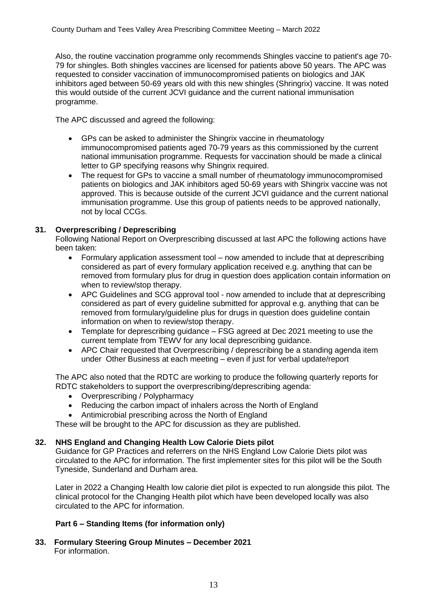Also, the routine vaccination programme only recommends Shingles vaccine to patient's age 70- 79 for shingles. Both shingles vaccines are licensed for patients above 50 years. The APC was requested to consider vaccination of immunocompromised patients on biologics and JAK inhibitors aged between 50-69 years old with this new shingles (Shringrix) vaccine. It was noted this would outside of the current JCVI guidance and the current national immunisation programme.

The APC discussed and agreed the following:

- GPs can be asked to administer the Shingrix vaccine in rheumatology immunocompromised patients aged 70-79 years as this commissioned by the current national immunisation programme. Requests for vaccination should be made a clinical letter to GP specifying reasons why Shingrix required.
- The request for GPs to vaccine a small number of rheumatology immunocompromised patients on biologics and JAK inhibitors aged 50-69 years with Shingrix vaccine was not approved. This is because outside of the current JCVI guidance and the current national immunisation programme. Use this group of patients needs to be approved nationally, not by local CCGs.

## **31. Overprescribing / Deprescribing**

Following National Report on Overprescribing discussed at last APC the following actions have been taken:

- Formulary application assessment tool now amended to include that at deprescribing considered as part of every formulary application received e.g. anything that can be removed from formulary plus for drug in question does application contain information on when to review/stop therapy.
- APC Guidelines and SCG approval tool now amended to include that at deprescribing considered as part of every guideline submitted for approval e.g. anything that can be removed from formulary/guideline plus for drugs in question does guideline contain information on when to review/stop therapy.
- Template for deprescribing guidance FSG agreed at Dec 2021 meeting to use the current template from TEWV for any local deprescribing guidance.
- APC Chair requested that Overprescribing / deprescribing be a standing agenda item under Other Business at each meeting – even if just for verbal update/report

The APC also noted that the RDTC are working to produce the following quarterly reports for RDTC stakeholders to support the overprescribing/deprescribing agenda:

- Overprescribing / Polypharmacy
- Reducing the carbon impact of inhalers across the North of England
- Antimicrobial prescribing across the North of England

These will be brought to the APC for discussion as they are published.

## **32. NHS England and Changing Health Low Calorie Diets pilot**

Guidance for GP Practices and referrers on the NHS England Low Calorie Diets pilot was circulated to the APC for information. The first implementer sites for this pilot will be the South Tyneside, Sunderland and Durham area.

Later in 2022 a Changing Health low calorie diet pilot is expected to run alongside this pilot. The clinical protocol for the Changing Health pilot which have been developed locally was also circulated to the APC for information.

## **Part 6 – Standing Items (for information only)**

**33. Formulary Steering Group Minutes – December 2021** For information.